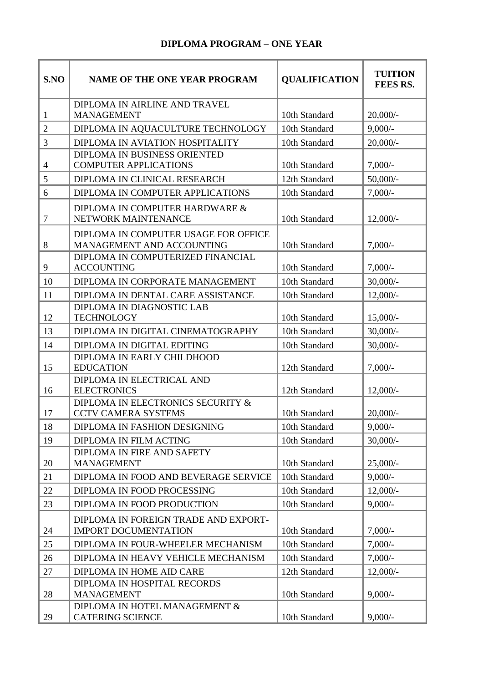## **DIPLOMA PROGRAM – ONE YEAR**

| S.NO           | <b>NAME OF THE ONE YEAR PROGRAM</b>                                 | <b>QUALIFICATION</b> | <b>TUITION</b><br><b>FEES RS.</b> |
|----------------|---------------------------------------------------------------------|----------------------|-----------------------------------|
| $\mathbf{1}$   | DIPLOMA IN AIRLINE AND TRAVEL<br><b>MANAGEMENT</b>                  | 10th Standard        | $20,000/-$                        |
| $\overline{2}$ | DIPLOMA IN AQUACULTURE TECHNOLOGY                                   | 10th Standard        | $9,000/-$                         |
| 3              | DIPLOMA IN AVIATION HOSPITALITY                                     | 10th Standard        | $20,000/-$                        |
| $\overline{4}$ | DIPLOMA IN BUSINESS ORIENTED<br><b>COMPUTER APPLICATIONS</b>        | 10th Standard        | $7,000/-$                         |
| 5              | DIPLOMA IN CLINICAL RESEARCH                                        | 12th Standard        | $50,000/-$                        |
| 6              | DIPLOMA IN COMPUTER APPLICATIONS                                    | 10th Standard        | $7,000/-$                         |
| $\overline{7}$ | DIPLOMA IN COMPUTER HARDWARE &<br>NETWORK MAINTENANCE               | 10th Standard        | $12,000/-$                        |
| 8              | DIPLOMA IN COMPUTER USAGE FOR OFFICE<br>MANAGEMENT AND ACCOUNTING   | 10th Standard        | $7,000/-$                         |
| 9              | DIPLOMA IN COMPUTERIZED FINANCIAL<br><b>ACCOUNTING</b>              | 10th Standard        | $7,000/-$                         |
| 10             | DIPLOMA IN CORPORATE MANAGEMENT                                     | 10th Standard        | $30,000/$ -                       |
| 11             | DIPLOMA IN DENTAL CARE ASSISTANCE                                   | 10th Standard        | $12,000/-$                        |
| 12             | DIPLOMA IN DIAGNOSTIC LAB<br><b>TECHNOLOGY</b>                      | 10th Standard        | $15,000/-$                        |
| 13             | DIPLOMA IN DIGITAL CINEMATOGRAPHY                                   | 10th Standard        | $30,000/$ -                       |
| 14             | DIPLOMA IN DIGITAL EDITING                                          | 10th Standard        | $30,000/-$                        |
| 15             | DIPLOMA IN EARLY CHILDHOOD<br><b>EDUCATION</b>                      | 12th Standard        | $7,000/-$                         |
| 16             | DIPLOMA IN ELECTRICAL AND<br><b>ELECTRONICS</b>                     | 12th Standard        | $12,000/-$                        |
| 17             | DIPLOMA IN ELECTRONICS SECURITY &<br><b>CCTV CAMERA SYSTEMS</b>     | 10th Standard        | $20,000/-$                        |
| 18             | DIPLOMA IN FASHION DESIGNING                                        | 10th Standard        | $9,000/-$                         |
| 19             | DIPLOMA IN FILM ACTING                                              | 10th Standard        | $30,000/-$                        |
| 20             | DIPLOMA IN FIRE AND SAFETY<br><b>MANAGEMENT</b>                     | 10th Standard        | $25,000/-$                        |
| 21             | DIPLOMA IN FOOD AND BEVERAGE SERVICE                                | 10th Standard        | $9,000/-$                         |
| 22             | DIPLOMA IN FOOD PROCESSING                                          | 10th Standard        | $12,000/-$                        |
| 23             | DIPLOMA IN FOOD PRODUCTION                                          | 10th Standard        | $9,000/-$                         |
| 24             | DIPLOMA IN FOREIGN TRADE AND EXPORT-<br><b>IMPORT DOCUMENTATION</b> | 10th Standard        | $7,000/-$                         |
| 25             | DIPLOMA IN FOUR-WHEELER MECHANISM                                   | 10th Standard        | $7,000/-$                         |
| 26             | DIPLOMA IN HEAVY VEHICLE MECHANISM                                  | 10th Standard        | $7,000/-$                         |
| 27             | DIPLOMA IN HOME AID CARE                                            | 12th Standard        | $12,000/-$                        |
| 28             | DIPLOMA IN HOSPITAL RECORDS<br><b>MANAGEMENT</b>                    | 10th Standard        | $9,000/-$                         |
| 29             | DIPLOMA IN HOTEL MANAGEMENT &<br><b>CATERING SCIENCE</b>            | 10th Standard        | $9,000/-$                         |